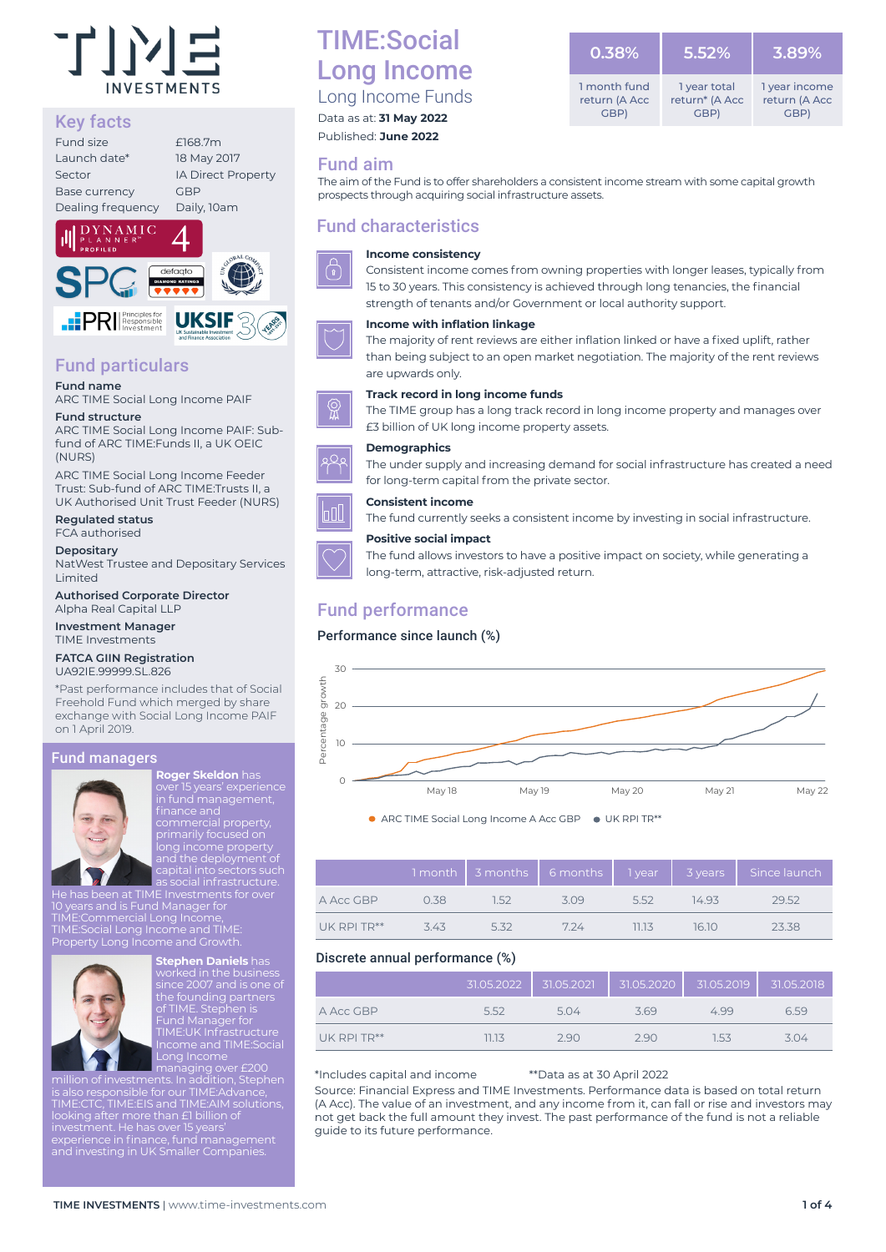

## Key facts

| Fund size            | £168.7m                   |
|----------------------|---------------------------|
| Launch date*         | 18 May 2017               |
| Sector               | <b>IA Direct Property</b> |
| <b>Base currency</b> | <b>GBP</b>                |
| Dealing frequency    | Daily, 10am               |
|                      |                           |



## Fund particulars

**Fund name** ARC TIME Social Long Income PAIF

#### **Fund structure**

ARC TIME Social Long Income PAIF: Subfund of ARC TIME:Funds II, a UK OEIC (NURS)

ARC TIME Social Long Income Feeder Trust: Sub-fund of ARC TIME:Trusts II, a UK Authorised Unit Trust Feeder (NURS)

**Regulated status** FCA authorised

**Depositary**

NatWest Trustee and Depositary Services Limited

**Authorised Corporate Director** Alpha Real Capital LLP

**Investment Manager** TIME Investments

#### **FATCA GIIN Registration** UA92IE.99999.SL.826

\*Past performance includes that of Social Freehold Fund which merged by share exchange with Social Long Income PAIF on 1 April 2019.

#### Fund managers



**Roger Skeldon** has in fund management, primarily focused on

He has been at TIME Investments for over 10 years and is Fund Manager for TIME:Commercial Long Income, TIME:Social Long Income and TIME: Property Long Income and Growth.



Stephen Dani since 2007 and is one of the founding partners of TIME. Stephen is Fund Manager for TIME:UK Infrastructure Income and TIME:Social

managing over £200 million of investments. In addition, Stephen is also responsible for our TIME:Advance, TIME:CTC, TIME:EIS and TIME:AIM solutions, looking after more than £1 billion of experience in finance, fund management

## TIME:Social Long Income

Long Income Funds Data as at: **31 May 2022**

Published: **June 2022**

## Fund aim

The aim of the Fund is to offer shareholders a consistent income stream with some capital growth prospects through acquiring social infrastructure assets.

## Fund characteristics



**Income consistency**



**Income with inflation linkage**

The majority of rent reviews are either inflation linked or have a fixed uplift, rather than being subject to an open market negotiation. The majority of the rent reviews are upwards only.

#### **Track record in long income funds**

The TIME group has a long track record in long income property and manages over £3 billion of UK long income property assets.

The under supply and increasing demand for social infrastructure has created a need for long-term capital from the private sector.

long-term, attractive, risk-adjusted return.

#### **Consistent income**

The fund currently seeks a consistent income by investing in social infrastructure.

The fund allows investors to have a positive impact on society, while generating a

#### **Positive social impact**

## Fund performance

#### Performance since launch (%)



● ARC TIME Social Long Income A Acc GBP ● UK RPI TR\*\*

|                  |      |      | 1 month   3 months   6 months   1 year |      | 3 years | Since launch |
|------------------|------|------|----------------------------------------|------|---------|--------------|
| A Acc GBP        | 0.38 | 1.52 | 3.09                                   | 5.52 | 14.93   | 29.52        |
| $UK$ RPI TR $**$ | 343  | 5.32 | 7.24                                   | 1113 | 16.10   | 23.38        |

#### Discrete annual performance (%)

|             | 31.05.2022 | 31.05.2021 |      | 31.05.2020   31.05.2019   31.05.2018 |      |
|-------------|------------|------------|------|--------------------------------------|------|
| A Acc GBP   | 5.52       | 5.04       | 3.69 | 4.99                                 | 6.59 |
| UK RPI TR** | 11.13      | 2.90       | 2.90 | 1.53                                 | 3.04 |

\*Includes capital and income \*\*Data as at 30 April 2022

Source: Financial Express and TIME Investments. Performance data is based on total return (A Acc). The value of an investment, and any income from it, can fall or rise and investors may not get back the full amount they invest. The past performance of the fund is not a reliable guide to its future performance.

**5.52%** 1 year total return\* (A Acc GBP) **3.89%** 1 year income return (A Acc  $GBD$ **0.38%** 1 month fund return (A Acc GBP)

Consistent income comes from owning properties with longer leases, typically from 15 to 30 years. This consistency is achieved through long tenancies, the financial strength of tenants and/or Government or local authority support.

## **Demographics**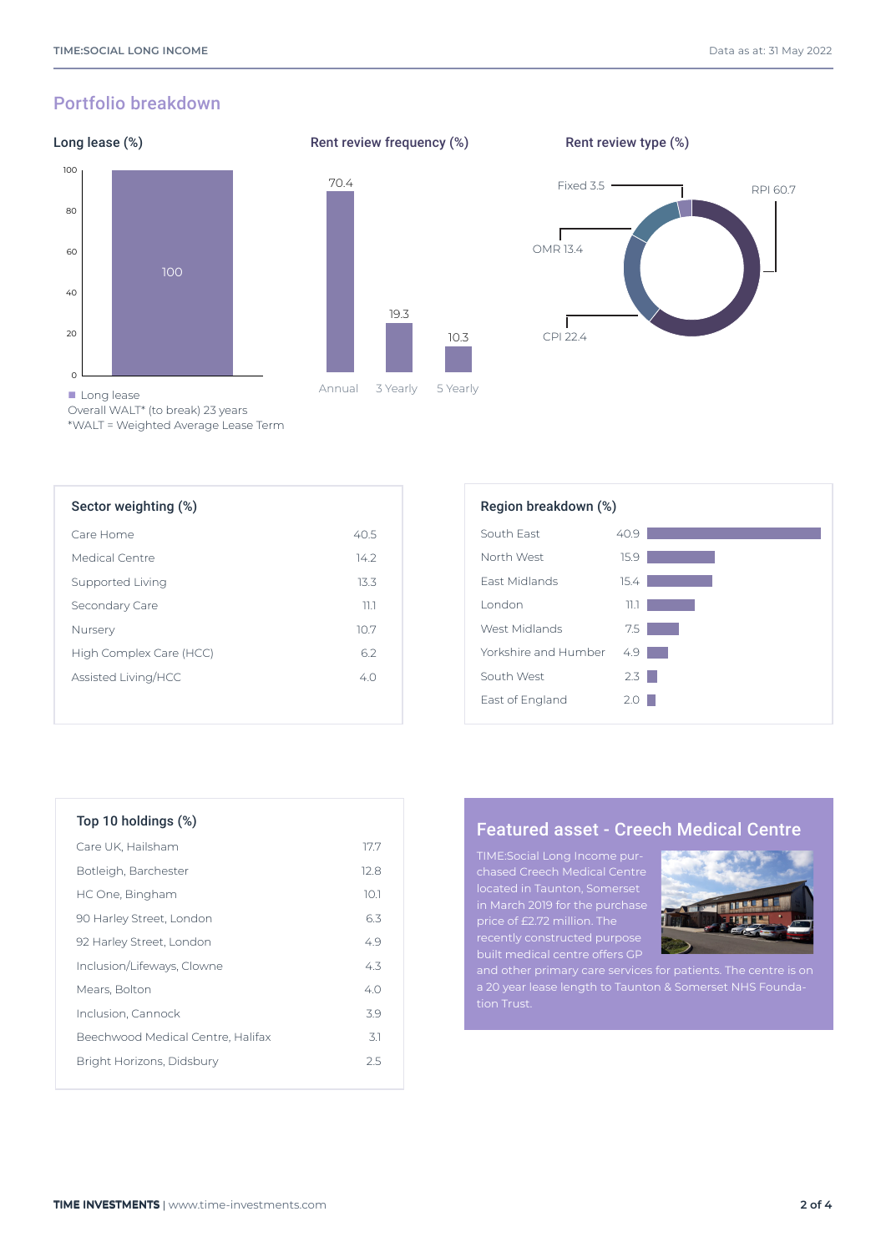## Portfolio breakdown

## Long lease (%)





Rent review frequency (%)

Rent review type (%)



Overall WALT\* (to break) 23 years

\*WALT = Weighted Average Lease Term

| Sector weighting (%)    |                | Region breakdown (%) |
|-------------------------|----------------|----------------------|
| Care Home               | 40.5           | South Fast           |
| Medical Centre          | $14.2^{\circ}$ | North West           |
| Supported Living        | 13.3           | <b>Fast Midlands</b> |
| Secondary Care          | 11.1           | <b>London</b>        |
| Nursery                 | 10.7           | West Midlands        |
| High Complex Care (HCC) | 6.2            | Yorkshire and Humber |
| Assisted Living/HCC     | 4.0            | South West           |
|                         |                | East of England      |

| Region breakdown (%) |      |  |  |  |
|----------------------|------|--|--|--|
| South Fast           | 40.9 |  |  |  |
| North West           | 15.9 |  |  |  |
| <b>Fast Midlands</b> | 15.4 |  |  |  |
| I ondon              | 11.1 |  |  |  |
| West Midlands        | 7.5  |  |  |  |
| Yorkshire and Humber | 4.9  |  |  |  |
| South West           | 2.3  |  |  |  |
| East of England      | 2.0  |  |  |  |

| $10p$ TV notaings $(%)$ |      |
|-------------------------|------|
| Care UK, Hailsham       | 17.7 |

 $T_0$  10 holdings ( $\frac{1}{2}$ )

| Botleigh, Barchester              | 12.8 |
|-----------------------------------|------|
| HC One, Bingham                   | 10.1 |
| 90 Harley Street, London          | 6.3  |
| 92 Harley Street, London          | 4.9  |
| Inclusion/Lifeways, Clowne        | 43   |
| Mears, Bolton                     | 40   |
| Inclusion, Cannock                | 39   |
| Beechwood Medical Centre, Halifax | 31   |
| Bright Horizons, Didsbury         | 2.5  |
|                                   |      |

## Featured asset - Creech Medical Centre

TIME:Social Long Income purchased Creech Medical Centre located in Taunton, Somerset

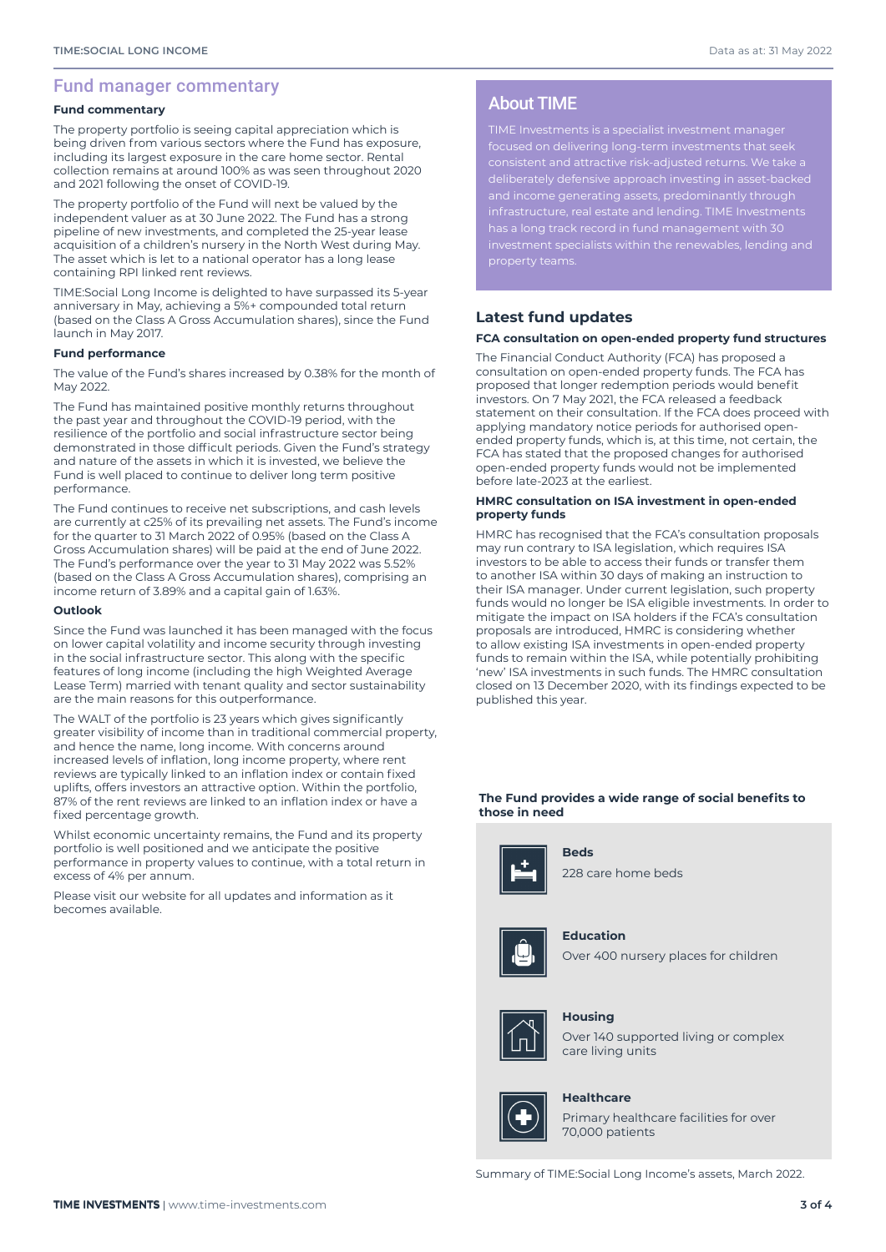#### Fund manager commentary

#### **Fund commentary**

The property portfolio is seeing capital appreciation which is being driven from various sectors where the Fund has exposure, including its largest exposure in the care home sector. Rental collection remains at around 100% as was seen throughout 2020 and 2021 following the onset of COVID-19.

The property portfolio of the Fund will next be valued by the independent valuer as at 30 June 2022. The Fund has a strong pipeline of new investments, and completed the 25-year lease acquisition of a children's nursery in the North West during May. The asset which is let to a national operator has a long lease containing RPI linked rent reviews.

TIME:Social Long Income is delighted to have surpassed its 5-year anniversary in May, achieving a 5%+ compounded total return (based on the Class A Gross Accumulation shares), since the Fund launch in May 2017.

#### **Fund performance**

The value of the Fund's shares increased by 0.38% for the month of May 2022.

The Fund has maintained positive monthly returns throughout the past year and throughout the COVID-19 period, with the resilience of the portfolio and social infrastructure sector being demonstrated in those difficult periods. Given the Fund's strategy and nature of the assets in which it is invested, we believe the Fund is well placed to continue to deliver long term positive performance.

The Fund continues to receive net subscriptions, and cash levels are currently at c25% of its prevailing net assets. The Fund's income for the quarter to 31 March 2022 of 0.95% (based on the Class A Gross Accumulation shares) will be paid at the end of June 2022. The Fund's performance over the year to 31 May 2022 was 5.52% (based on the Class A Gross Accumulation shares), comprising an income return of 3.89% and a capital gain of 1.63%.

#### **Outlook**

Since the Fund was launched it has been managed with the focus on lower capital volatility and income security through investing in the social infrastructure sector. This along with the specific features of long income (including the high Weighted Average Lease Term) married with tenant quality and sector sustainability are the main reasons for this outperformance.

The WALT of the portfolio is 23 years which gives significantly greater visibility of income than in traditional commercial property, and hence the name, long income. With concerns around increased levels of inflation, long income property, where rent reviews are typically linked to an inflation index or contain fixed uplifts, offers investors an attractive option. Within the portfolio, 87% of the rent reviews are linked to an inflation index or have a fixed percentage growth.

Whilst economic uncertainty remains, the Fund and its property portfolio is well positioned and we anticipate the positive performance in property values to continue, with a total return in excess of 4% per annum.

Please visit our website for all updates and information as it becomes available.

## About TIME

TIME Investments is a specialist investment manager focused on delivering long-term investments that seek consistent and attractive risk-adjusted returns. We take a deliberately defensive approach investing in asset-backed

#### **Latest fund updates**

#### **FCA consultation on open-ended property fund structures**

The Financial Conduct Authority (FCA) has proposed a consultation on open-ended property funds. The FCA has proposed that longer redemption periods would benefit investors. On 7 May 2021, the FCA released a feedback statement on their consultation. If the FCA does proceed with applying mandatory notice periods for authorised openended property funds, which is, at this time, not certain, the FCA has stated that the proposed changes for authorised open-ended property funds would not be implemented before late-2023 at the earliest.

#### **HMRC consultation on ISA investment in open-ended property funds**

HMRC has recognised that the FCA's consultation proposals may run contrary to ISA legislation, which requires ISA investors to be able to access their funds or transfer them to another ISA within 30 days of making an instruction to their ISA manager. Under current legislation, such property funds would no longer be ISA eligible investments. In order to mitigate the impact on ISA holders if the FCA's consultation proposals are introduced, HMRC is considering whether to allow existing ISA investments in open-ended property funds to remain within the ISA, while potentially prohibiting 'new' ISA investments in such funds. The HMRC consultation closed on 13 December 2020, with its findings expected to be published this year.

#### **The Fund provides a wide range of social benefits to those in need**



**Beds**





**Education**





#### **Housing**

Over 140 supported living or complex care living units



#### **Healthcare**

Primary healthcare facilities for over 70,000 patients

Summary of TIME:Social Long Income's assets, March 2022.